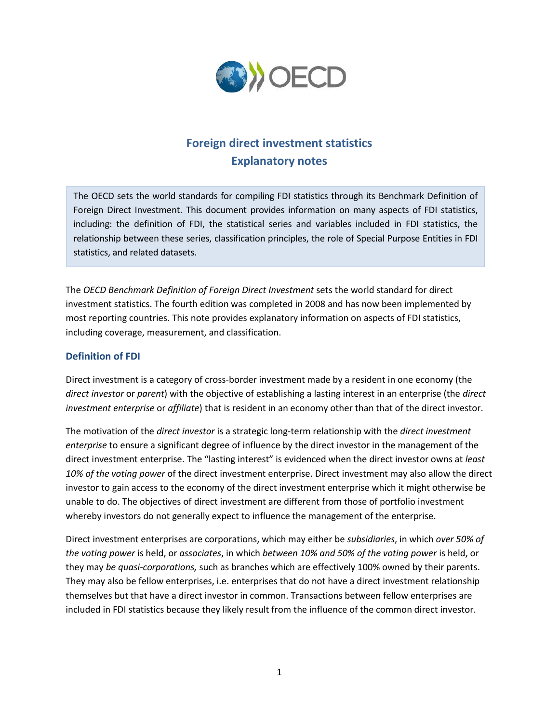

# **Foreign direct investment statistics Explanatory notes**

The OECD sets the world standards for compiling FDI statistics through its Benchmark Definition of Foreign Direct Investment. This document provides information on many aspects of FDI statistics, including: the definition of FDI, the statistical series and variables included in FDI statistics, the relationship between these series, classification principles, the role of Special Purpose Entities in FDI statistics, and related datasets.

The *OECD Benchmark Definition of Foreign Direct Investment* sets the world standard for direct investment statistics. The fourth edition was completed in 2008 and has now been implemented by most reporting countries. This note provides explanatory information on aspects of FDI statistics, including coverage, measurement, and classification.

## **Definition of FDI**

Direct investment is a category of cross-border investment made by a resident in one economy (the *direct investor* or *parent*) with the objective of establishing a lasting interest in an enterprise (the *direct investment enterprise* or *affiliate*) that is resident in an economy other than that of the direct investor.

The motivation of the *direct investor* is a strategic long-term relationship with the *direct investment enterprise* to ensure a significant degree of influence by the direct investor in the management of the direct investment enterprise. The "lasting interest" is evidenced when the direct investor owns at *least 10% of the voting power* of the direct investment enterprise. Direct investment may also allow the direct investor to gain access to the economy of the direct investment enterprise which it might otherwise be unable to do. The objectives of direct investment are different from those of portfolio investment whereby investors do not generally expect to influence the management of the enterprise.

Direct investment enterprises are corporations, which may either be *subsidiaries*, in which *over 50% of the voting power* is held, or *associates*, in which *between 10% and 50% of the voting power* is held, or they may *be quasi-corporations,* such as branches which are effectively 100% owned by their parents. They may also be fellow enterprises, i.e. enterprises that do not have a direct investment relationship themselves but that have a direct investor in common. Transactions between fellow enterprises are included in FDI statistics because they likely result from the influence of the common direct investor.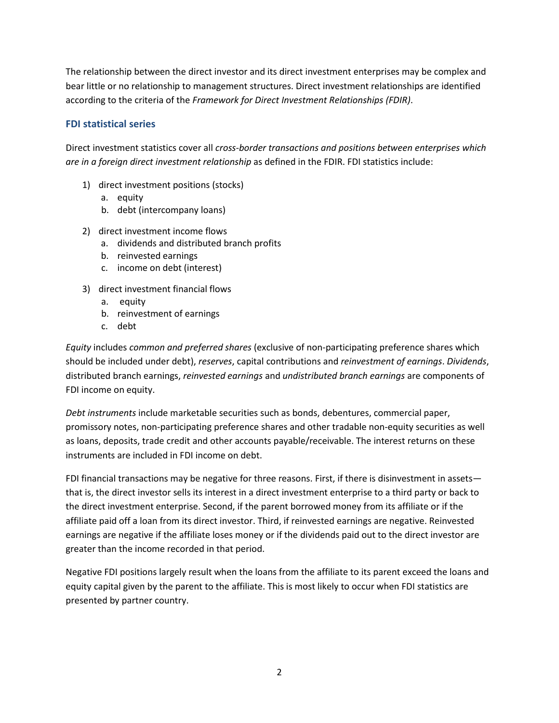The relationship between the direct investor and its direct investment enterprises may be complex and bear little or no relationship to management structures. Direct investment relationships are identified according to the criteria of the *Framework for Direct Investment Relationships (FDIR)*.

## **FDI statistical series**

Direct investment statistics cover all *cross-border transactions and positions between enterprises which are in a foreign direct investment relationship* as defined in the FDIR. FDI statistics include:

- 1) direct investment positions (stocks)
	- a. equity
	- b. debt (intercompany loans)
- 2) direct investment income flows
	- a. dividends and distributed branch profits
	- b. reinvested earnings
	- c. income on debt (interest)
- 3) direct investment financial flows
	- a. equity
	- b. reinvestment of earnings
	- c. debt

*Equity* includes *common and preferred shares* (exclusive of non-participating preference shares which should be included under debt), *reserves*, capital contributions and *reinvestment of earnings*. *Dividends*, distributed branch earnings, *reinvested earnings* and *undistributed branch earnings* are components of FDI income on equity.

*Debt instruments* include marketable securities such as bonds, debentures, commercial paper, promissory notes, non-participating preference shares and other tradable non-equity securities as well as loans, deposits, trade credit and other accounts payable/receivable. The interest returns on these instruments are included in FDI income on debt.

FDI financial transactions may be negative for three reasons. First, if there is disinvestment in assets that is, the direct investor sells its interest in a direct investment enterprise to a third party or back to the direct investment enterprise. Second, if the parent borrowed money from its affiliate or if the affiliate paid off a loan from its direct investor. Third, if reinvested earnings are negative. Reinvested earnings are negative if the affiliate loses money or if the dividends paid out to the direct investor are greater than the income recorded in that period.

Negative FDI positions largely result when the loans from the affiliate to its parent exceed the loans and equity capital given by the parent to the affiliate. This is most likely to occur when FDI statistics are presented by partner country.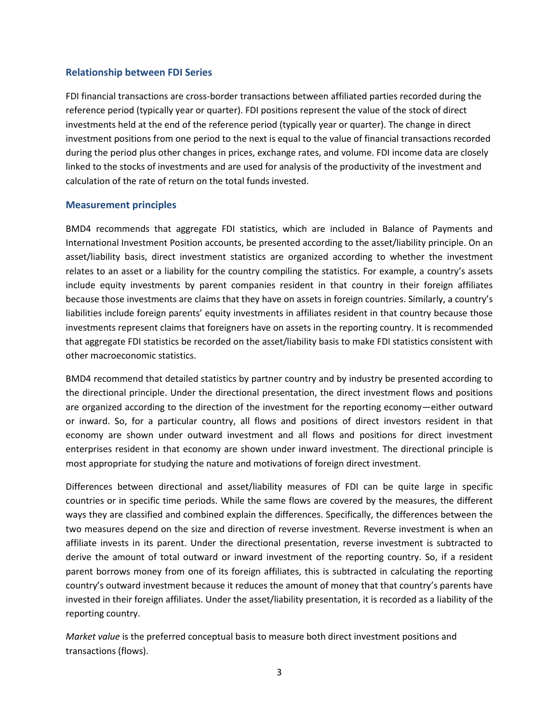#### **Relationship between FDI Series**

FDI financial transactions are cross-border transactions between affiliated parties recorded during the reference period (typically year or quarter). FDI positions represent the value of the stock of direct investments held at the end of the reference period (typically year or quarter). The change in direct investment positions from one period to the next is equal to the value of financial transactions recorded during the period plus other changes in prices, exchange rates, and volume. FDI income data are closely linked to the stocks of investments and are used for analysis of the productivity of the investment and calculation of the rate of return on the total funds invested.

#### **Measurement principles**

BMD4 recommends that aggregate FDI statistics, which are included in Balance of Payments and International Investment Position accounts, be presented according to the asset/liability principle. On an asset/liability basis, direct investment statistics are organized according to whether the investment relates to an asset or a liability for the country compiling the statistics. For example, a country's assets include equity investments by parent companies resident in that country in their foreign affiliates because those investments are claims that they have on assets in foreign countries. Similarly, a country's liabilities include foreign parents' equity investments in affiliates resident in that country because those investments represent claims that foreigners have on assets in the reporting country. It is recommended that aggregate FDI statistics be recorded on the asset/liability basis to make FDI statistics consistent with other macroeconomic statistics.

BMD4 recommend that detailed statistics by partner country and by industry be presented according to the directional principle. Under the directional presentation, the direct investment flows and positions are organized according to the direction of the investment for the reporting economy—either outward or inward. So, for a particular country, all flows and positions of direct investors resident in that economy are shown under outward investment and all flows and positions for direct investment enterprises resident in that economy are shown under inward investment. The directional principle is most appropriate for studying the nature and motivations of foreign direct investment.

Differences between directional and asset/liability measures of FDI can be quite large in specific countries or in specific time periods. While the same flows are covered by the measures, the different ways they are classified and combined explain the differences. Specifically, the differences between the two measures depend on the size and direction of reverse investment. Reverse investment is when an affiliate invests in its parent. Under the directional presentation, reverse investment is subtracted to derive the amount of total outward or inward investment of the reporting country. So, if a resident parent borrows money from one of its foreign affiliates, this is subtracted in calculating the reporting country's outward investment because it reduces the amount of money that that country's parents have invested in their foreign affiliates. Under the asset/liability presentation, it is recorded as a liability of the reporting country.

*Market value* is the preferred conceptual basis to measure both direct investment positions and transactions (flows).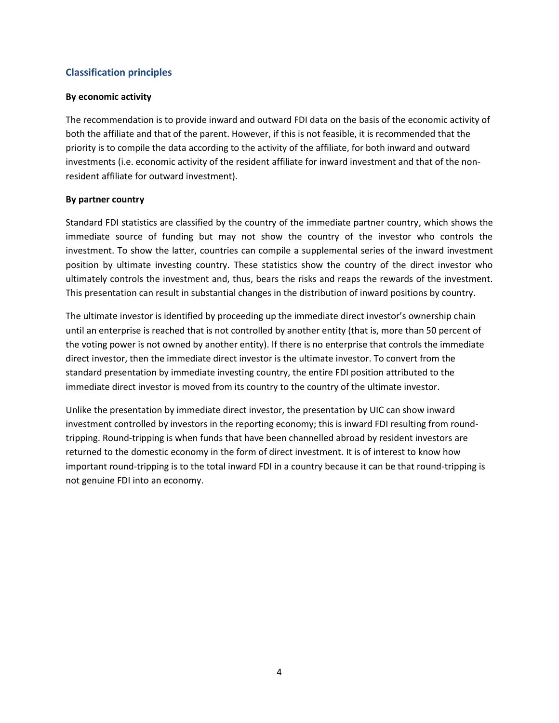## **Classification principles**

#### **By economic activity**

The recommendation is to provide inward and outward FDI data on the basis of the economic activity of both the affiliate and that of the parent. However, if this is not feasible, it is recommended that the priority is to compile the data according to the activity of the affiliate, for both inward and outward investments (i.e. economic activity of the resident affiliate for inward investment and that of the nonresident affiliate for outward investment).

#### **By partner country**

Standard FDI statistics are classified by the country of the immediate partner country, which shows the immediate source of funding but may not show the country of the investor who controls the investment. To show the latter, countries can compile a supplemental series of the inward investment position by ultimate investing country. These statistics show the country of the direct investor who ultimately controls the investment and, thus, bears the risks and reaps the rewards of the investment. This presentation can result in substantial changes in the distribution of inward positions by country.

The ultimate investor is identified by proceeding up the immediate direct investor's ownership chain until an enterprise is reached that is not controlled by another entity (that is, more than 50 percent of the voting power is not owned by another entity). If there is no enterprise that controls the immediate direct investor, then the immediate direct investor is the ultimate investor. To convert from the standard presentation by immediate investing country, the entire FDI position attributed to the immediate direct investor is moved from its country to the country of the ultimate investor.

Unlike the presentation by immediate direct investor, the presentation by UIC can show inward investment controlled by investors in the reporting economy; this is inward FDI resulting from roundtripping. Round-tripping is when funds that have been channelled abroad by resident investors are returned to the domestic economy in the form of direct investment. It is of interest to know how important round-tripping is to the total inward FDI in a country because it can be that round-tripping is not genuine FDI into an economy.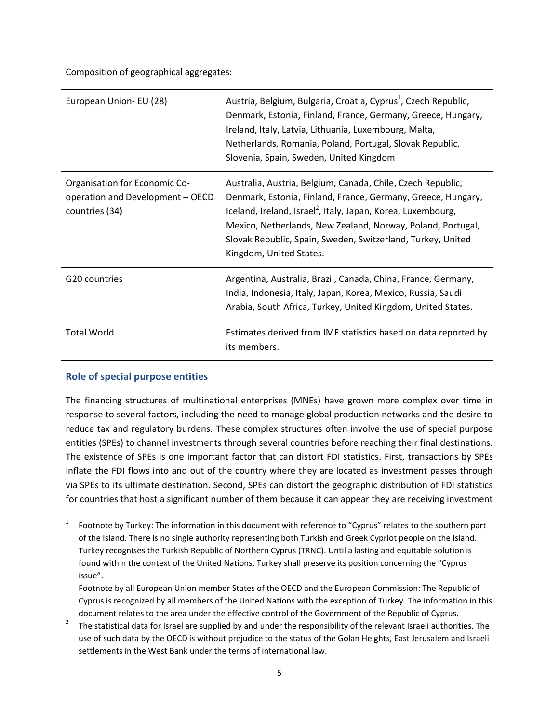Composition of geographical aggregates:

| European Union- EU (28)                                                             | Austria, Belgium, Bulgaria, Croatia, Cyprus <sup>1</sup> , Czech Republic,<br>Denmark, Estonia, Finland, France, Germany, Greece, Hungary,<br>Ireland, Italy, Latvia, Lithuania, Luxembourg, Malta,<br>Netherlands, Romania, Poland, Portugal, Slovak Republic,<br>Slovenia, Spain, Sweden, United Kingdom                                                       |
|-------------------------------------------------------------------------------------|------------------------------------------------------------------------------------------------------------------------------------------------------------------------------------------------------------------------------------------------------------------------------------------------------------------------------------------------------------------|
| Organisation for Economic Co-<br>operation and Development - OECD<br>countries (34) | Australia, Austria, Belgium, Canada, Chile, Czech Republic,<br>Denmark, Estonia, Finland, France, Germany, Greece, Hungary,<br>Iceland, Ireland, Israel <sup>2</sup> , Italy, Japan, Korea, Luxembourg,<br>Mexico, Netherlands, New Zealand, Norway, Poland, Portugal,<br>Slovak Republic, Spain, Sweden, Switzerland, Turkey, United<br>Kingdom, United States. |
| G20 countries                                                                       | Argentina, Australia, Brazil, Canada, China, France, Germany,<br>India, Indonesia, Italy, Japan, Korea, Mexico, Russia, Saudi<br>Arabia, South Africa, Turkey, United Kingdom, United States.                                                                                                                                                                    |
| <b>Total World</b>                                                                  | Estimates derived from IMF statistics based on data reported by<br>its members.                                                                                                                                                                                                                                                                                  |

# **Role of special purpose entities**

The financing structures of multinational enterprises (MNEs) have grown more complex over time in response to several factors, including the need to manage global production networks and the desire to reduce tax and regulatory burdens. These complex structures often involve the use of special purpose entities (SPEs) to channel investments through several countries before reaching their final destinations. The existence of SPEs is one important factor that can distort FDI statistics. First, transactions by SPEs inflate the FDI flows into and out of the country where they are located as investment passes through via SPEs to its ultimate destination. Second, SPEs can distort the geographic distribution of FDI statistics for countries that host a significant number of them because it can appear they are receiving investment

 $\frac{1}{1}$ Footnote by Turkey: The information in this document with reference to "Cyprus" relates to the southern part of the Island. There is no single authority representing both Turkish and Greek Cypriot people on the Island. Turkey recognises the Turkish Republic of Northern Cyprus (TRNC). Until a lasting and equitable solution is found within the context of the United Nations, Turkey shall preserve its position concerning the "Cyprus issue".

Footnote by all European Union member States of the OECD and the European Commission: The Republic of Cyprus is recognized by all members of the United Nations with the exception of Turkey. The information in this document relates to the area under the effective control of the Government of the Republic of Cyprus.

<sup>2</sup> The statistical data for Israel are supplied by and under the responsibility of the relevant Israeli authorities. The use of such data by the OECD is without prejudice to the status of the Golan Heights, East Jerusalem and Israeli settlements in the West Bank under the terms of international law.